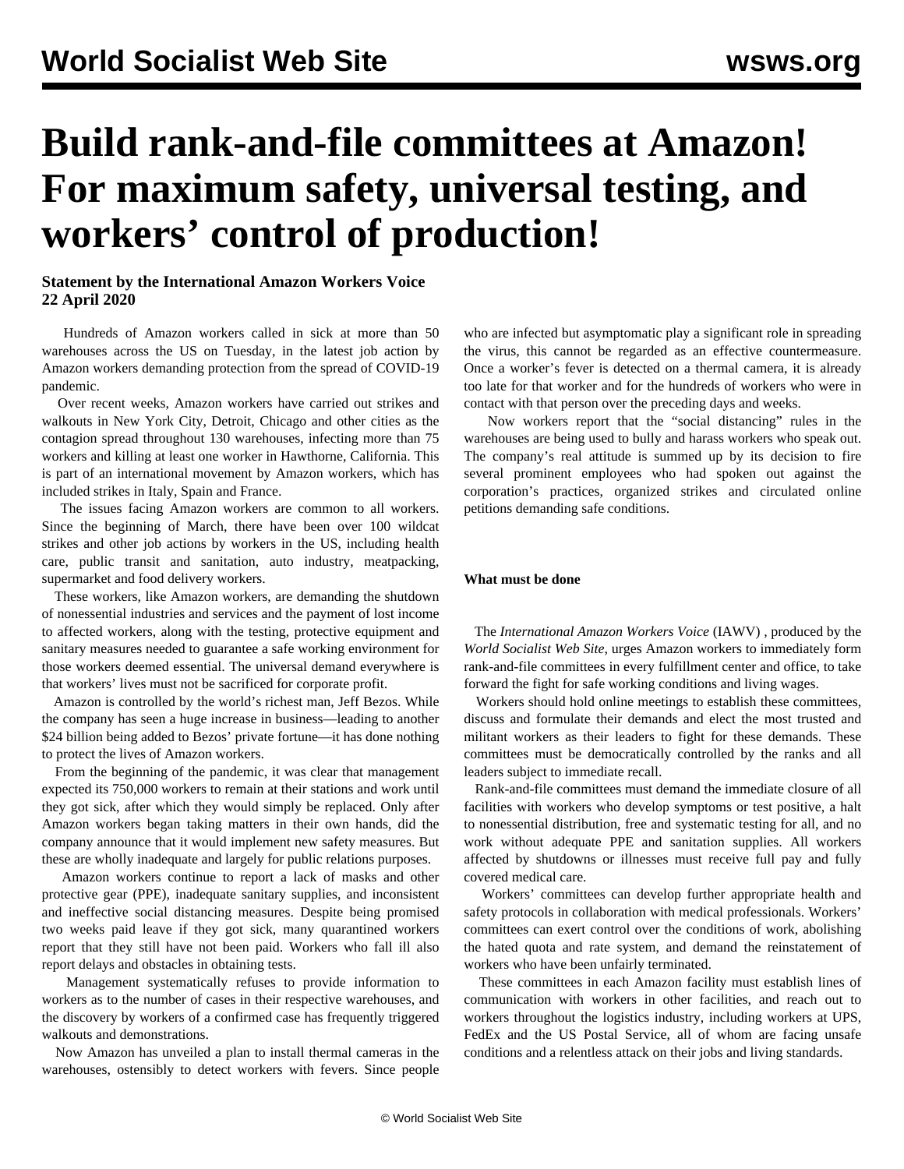# **Build rank-and-file committees at Amazon! For maximum safety, universal testing, and workers' control of production!**

### **Statement by the International Amazon Workers Voice 22 April 2020**

 Hundreds of Amazon workers called in sick at more than 50 warehouses across the US on Tuesday, in the latest job action by Amazon workers demanding protection from the spread of COVID-19 pandemic.

 Over recent weeks, Amazon workers have carried out strikes and walkouts in New York City, Detroit, Chicago and other cities as the contagion spread throughout 130 warehouses, infecting more than 75 workers and killing at least one worker in Hawthorne, California. This is part of an international movement by Amazon workers, which has included strikes in Italy, Spain and France.

 The issues facing Amazon workers are common to all workers. Since the beginning of March, there have been over 100 wildcat strikes and other job actions by workers in the US, including health care, public transit and sanitation, auto industry, meatpacking, supermarket and food delivery workers.

 These workers, like Amazon workers, are demanding the shutdown of nonessential industries and services and the payment of lost income to affected workers, along with the testing, protective equipment and sanitary measures needed to guarantee a safe working environment for those workers deemed essential. The universal demand everywhere is that workers' lives must not be sacrificed for corporate profit.

 Amazon is controlled by the world's richest man, Jeff Bezos. While the company has seen a huge increase in business—leading to another \$24 billion being added to Bezos' private fortune—it has done nothing to protect the lives of Amazon workers.

 From the beginning of the pandemic, it was clear that management expected its 750,000 workers to remain at their stations and work until they got sick, after which they would simply be replaced. Only after Amazon workers began taking matters in their own hands, did the company announce that it would implement new safety measures. But these are wholly inadequate and largely for public relations purposes.

 Amazon workers continue to report a lack of masks and other protective gear (PPE), inadequate sanitary supplies, and inconsistent and ineffective social distancing measures. Despite being promised two weeks paid leave if they got sick, many quarantined workers report that they still have not been paid. Workers who fall ill also report delays and obstacles in obtaining tests.

 Management systematically refuses to provide information to workers as to the number of cases in their respective warehouses, and the discovery by workers of a confirmed case has frequently triggered walkouts and demonstrations.

 Now Amazon has unveiled a plan to install thermal cameras in the warehouses, ostensibly to detect workers with fevers. Since people who are infected but asymptomatic play a significant role in spreading the virus, this cannot be regarded as an effective countermeasure. Once a worker's fever is detected on a thermal camera, it is already too late for that worker and for the hundreds of workers who were in contact with that person over the preceding days and weeks.

 Now workers report that the "social distancing" rules in the warehouses are being used to bully and harass workers who speak out. The company's real attitude is summed up by its decision to [fire](/en/articles/2020/04/16/amaz-a16.html) several prominent employees who had spoken out against the corporation's practices, organized strikes and circulated online petitions demanding safe conditions.

#### **What must be done**

 The *International Amazon Workers Voice* (IAWV) *,* produced by the *World Socialist Web Site*, urges Amazon workers to immediately form rank-and-file committees in every fulfillment center and office, to take forward the fight for safe working conditions and living wages.

 Workers should hold online meetings to establish these committees, discuss and formulate their demands and elect the most trusted and militant workers as their leaders to fight for these demands. These committees must be democratically controlled by the ranks and all leaders subject to immediate recall.

 Rank-and-file committees must demand the immediate closure of all facilities with workers who develop symptoms or test positive, a halt to nonessential distribution, free and systematic testing for all, and no work without adequate PPE and sanitation supplies. All workers affected by shutdowns or illnesses must receive full pay and fully covered medical care.

 Workers' committees can develop further appropriate health and safety protocols in collaboration with medical professionals. Workers' committees can exert control over the conditions of work, abolishing the hated quota and rate system, and demand the reinstatement of workers who have been unfairly terminated.

 These committees in each Amazon facility must establish lines of communication with workers in other facilities, and reach out to workers throughout the logistics industry, including workers at UPS, FedEx and the US Postal Service, all of whom are facing unsafe conditions and a relentless attack on their jobs and living standards.